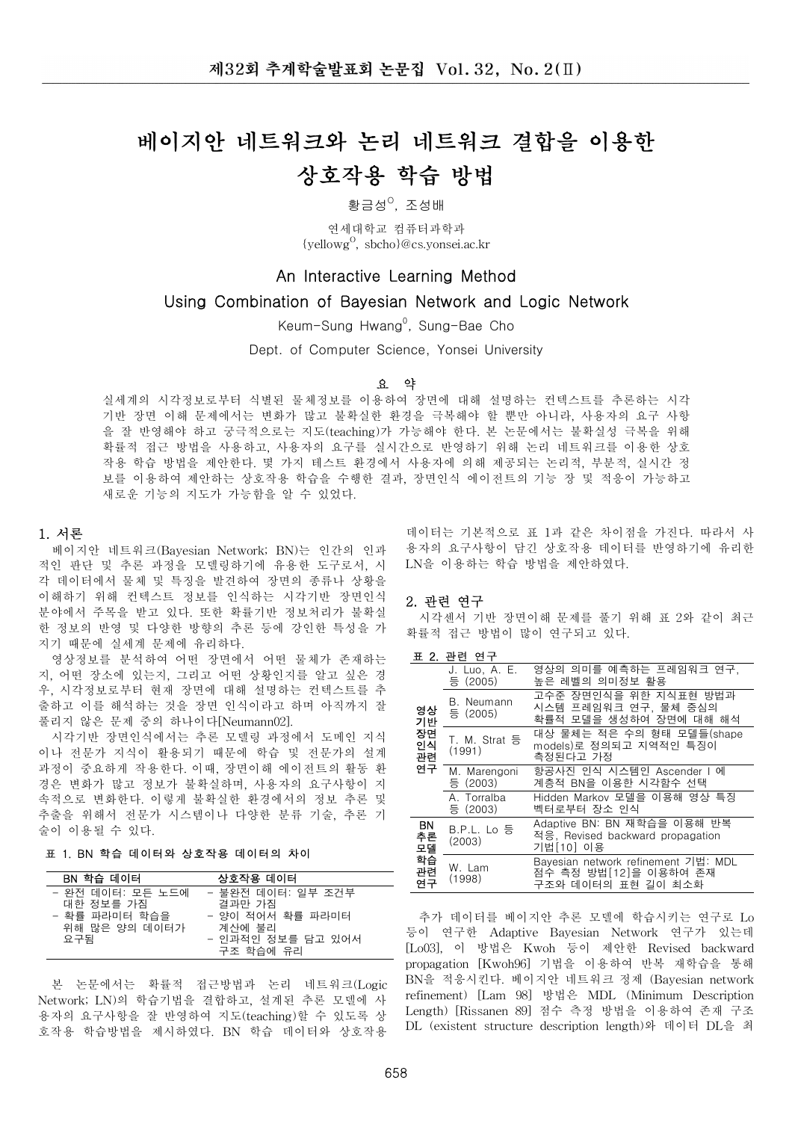# 베이지안 네트워크와 논리 네트워크 결합을 이용한 상호작용 학습 방법

황금성<sup>0</sup>, 조성배

여세대학교 컴퓨터과학과 {yellowg<sup>0</sup>, sbcho}@cs.yonsei.ac.kr

# An Interactive Learning Method

# Using Combination of Bayesian Network and Logic Network

Keum-Sung Hwang<sup>o</sup>, Sung-Bae Cho

Dept. of Computer Science, Yonsei University

#### 요 약

실세계의 시각정보로부터 식별된 물체정보를 이용하여 장면에 대해 설명하는 컨텍스트를 추론하는 시각 기반 장면 이해 문제에서는 변화가 많고 불확실한 환경을 극복해야 할 뿐만 아니라. 사용자의 요구 사항 을 잘 반영해야 하고 궁극적으로는 지도(teaching)가 가능해야 한다. 본 논문에서는 불확실성 극복을 위해 확률적 접근 방법을 사용하고, 사용자의 요구를 실시간으로 반영하기 위해 논리 네트워크를 이용한 상호 작용 학습 방법을 제안한다. 몇 가지 테스트 환경에서 사용자에 의해 제공되는 논리적, 부분적, 실시간 정 보를 이용하여 제안하는 상호작용 학습을 수행한 결과, 장면인식 에이전트의 기능 장 및 적응이 가능하고 새로운 기능의 지도가 가능함을 알 수 입었다.

#### 1. 서론

베이지안 네트워크(Bayesian Network; BN)는 인간의 인과 적인 판단 및 추론 과정을 모델링하기에 유용한 도구로서, 시 각 데이터에서 물체 및 특징을 발견하여 장면의 종류나 상황을 이해하기 위해 컨텍스트 정보를 인식하는 시각기반 장면인식 분야에서 주목을 받고 있다. 또한 확률기반 정보처리가 불확실 한 정보의 반영 및 다양한 방향의 추론 등에 강인한 특성을 가 지기 때문에 실세계 문제에 유리하다.

영상정보를 분석하여 어떤 장면에서 어떤 물체가 존재하는 지, 어떤 장소에 있는지, 그리고 어떤 상황인지를 알고 싶은 경 우, 시각정보로부터 현재 장면에 대해 설명하는 컨텍스트를 추 출하고 이를 해석하는 것을 장면 인식이라고 하며 아직까지 잘 풀리지 않은 문제 중의 하나이다[Neumann02].

시각기반 장면인식에서는 추론 모델링 과정에서 도메인 지식 이나 전문가 지식이 활용되기 때문에 학습 및 전문가의 설계 과정이 중요하게 작용한다. 이때, 장면이해 에이전트의 활동 환 경은 변화가 많고 정보가 불확실하며, 사용자의 요구사항이 지 속적으로 변화한다. 이렇게 불확실한 환경에서의 정보 추론 및 추출을 위해서 전문가 시스템이나 다양한 분류 기술, 추론 기 술이 이용될 수 있다.

# 표 1. BN 학습 데이터와 상호작용 데이터의 차이

| BN 학습 데이터                                                              | 상호작용 데이터                                                                       |
|------------------------------------------------------------------------|--------------------------------------------------------------------------------|
| - 완전 데이터: 모든 노드에<br>대한 정보를 가짐<br>- 확률 파라미터 학습을<br>위해 많은 양의 데이터가<br>요구됨 | - 불완전 데이터: 일부 조거부<br>결과만 가짐<br>- 양이 적어서 확률 파라미터<br>계산에 불리<br>- 인과적인 정보를 담고 있어서 |
|                                                                        | 구조 학습에 유리                                                                      |

본 논문에서는 확률적 접근방법과 논리 네트워크(Logic Network; LN)의 학습기법을 결합하고, 설계된 추론 모델에 사 용자의 요구사항을 잘 반영하여 지도(teaching)할 수 있도록 상 호작용 학습방법을 제시하였다. BN 학습 데이터와 상호작용

데이터는 기본적으로 표 1과 같은 차이점을 가진다. 따라서 사 용자의 요구사항이 담긴 상호작용 데이터를 반영하기에 유리한 LN을 이용하는 학습 방법을 제안하였다.

#### 2. 관련 연구

시각센서 기반 장면이해 문제를 풀기 위해 표 2와 같이 최근 확률적 접근 방법이 많이 연구되고 있다.

#### 표 2. 관련 연구

|                                  | J. Luo, A. E.<br>등 (2005) | 영상의 의미를 예측하는 프레임워크 연구.<br>높은 레벨의 의미정보 활용                                           |  |
|----------------------------------|---------------------------|------------------------------------------------------------------------------------|--|
| 영상<br>기반<br>장면<br>인식<br>관련<br>연구 | B. Neumann<br>등 (2005)    | 고수준 장면인식을 위한 지식표현 방법과<br>시스템 프레임워크 연구, 물체 중심의<br>확률적 모델을 생성하여 장면에 대해 해석            |  |
|                                  | T. M. Strat 등<br>(1991)   | 대상 물체는 적은 수의 형태 모델들(shape<br>models)로 정의되고 지역적인 특징이<br>측정된다고 가정                    |  |
|                                  | M. Marengoni<br>등 (2003)  | 항공사진 인식 시스템인 Ascender   에<br>계층적 BN을 이용한 시각함수 선택                                   |  |
|                                  | A. Torralba<br>등 (2003)   | Hidden Markov 모델을 이용해 영상 특징<br>벡터로부터 장소 인식                                         |  |
| ΒN<br>추론<br>모델<br>학습<br>관련<br>연구 | B.P.L. Lo 등<br>(2003)     | Adaptive BN: BN 재학습을 이용해 반복<br>적응, Revised backward propagation<br>기법[10] 이용       |  |
|                                  | W. Lam<br>(1998)          | Bayesian network refinement 기법: MDL<br>점수 측정 방법[12]을 이용하여 존재<br>구조와 데이터의 표현 길이 최소화 |  |

추가 데이터를 베이지안 추론 모델에 학습시키는 연구로 Lo 등이 연구한 Adaptive Bayesian Network 연구가 있는데 [Lo03], 이 방법은 Kwoh 등이 제안한 Revised backward propagation [Kwoh96] 기법을 이용하여 반복 재학습을 통해 BN을 적응시킨다. 베이지안 네트워크 정제 (Bavesian network refinement) [Lam 98] 방법은 MDL (Minimum Description Length) [Rissanen 89] 점수 측정 방법을 이용하여 존재 구조 DL (existent structure description length)와 데이터 DL을 최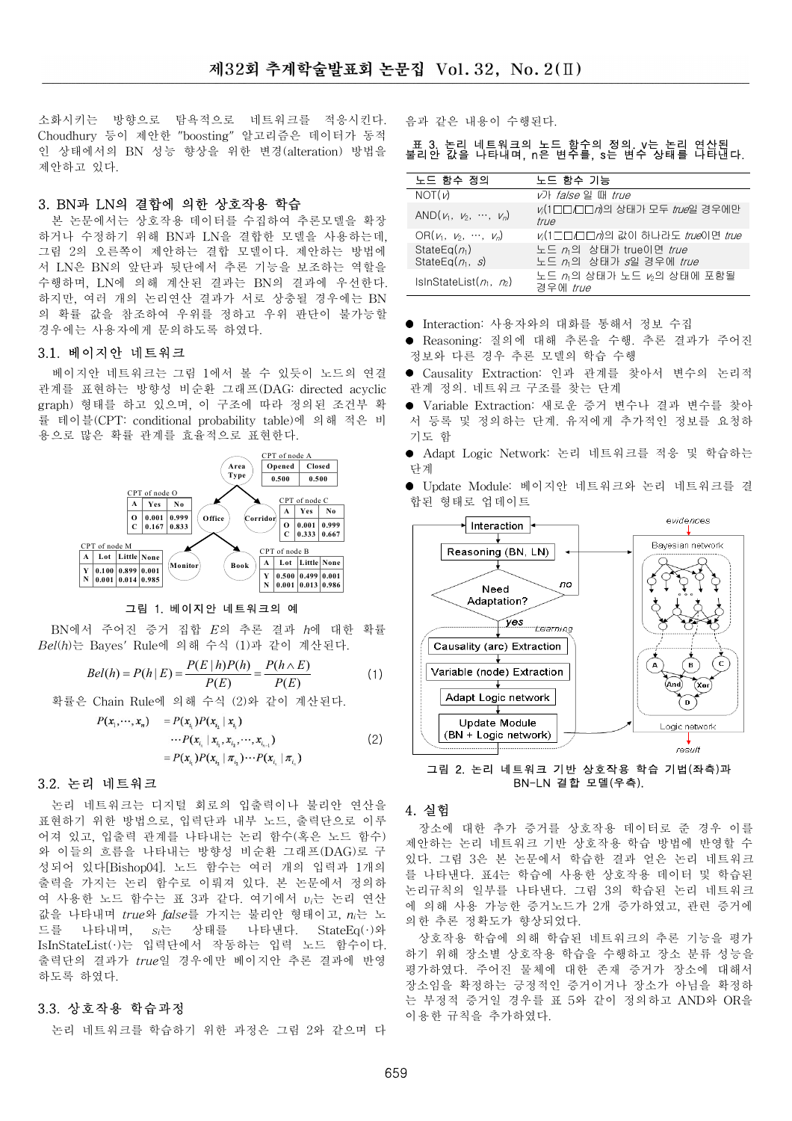소화시키는 방향으로 탐욕적으로 네트워크를 적응시킨다. Choudhury 등이 제안한 "boosting" 알고리즘은 데이터가 동적 인 상태에서의 BN 성능 향상을 위한 변경(alteration) 방법을 제안하고 있다.

# 3. BN과 LN의 결합에 의한 상호작용 학습

본 논문에서는 상호작용 데이터를 수집하여 추론모델을 확장 하거나 수정하기 위해 BN과 LN을 결합한 모델을 사용하는데, 그림 2의 오른쪽이 제안하는 결합 모델이다. 제안하는 방법에 서 LN은 BN의 앞단과 뒷단에서 추론 기능을 보조하는 역할을 수행하며, LN에 의해 계산된 결과는 BN의 결과에 우선한다. 하지만, 여러 개의 논리연산 결과가 서로 상충될 경우에는 BN 의 확률 값을 참조하여 우위를 정하고 우위 파단이 불가능할 경우에는 사용자에게 문의하도록 하였다.

## 3.1. 베이지안 네트워크

베이지안 네트워크는 그림 1에서 볼 수 있듯이 노드의 연결 관계를 표현하는 방향성 비순환 그래프(DAG: directed acvclic graph) 형태를 하고 있으며, 이 구조에 따라 정의된 조건부 확 률 테이블(CPT: conditional probability table)에 의해 적은 비 용으로 많은 확률 관계를 효율적으로 표현한다.



#### 그림 1. 베이지안 네트워크의 예

BN에서 주어진 증거 집합 E의 추론 결과 h에 대한 확률  $\mathit{Bel}(h)$ 는 Bayes' Rule에 의해 수식 (1)과 같이 계산된다.

$$
Bel(h) = P(h | E) = \frac{P(E | h)P(h)}{P(E)} = \frac{P(h \wedge E)}{P(E)}
$$
(1)

확률은 Chain Rule에 의해 수식 (2)와 같이 계산된다.

$$
P(x_1, \dots, x_n) = P(x_{i_1}) P(x_{i_2} | x_{i_1})
$$
  
\n
$$
\dots P(x_{i_n} | x_{i_1}, x_{i_2}, \dots, x_{i_{n-1}})
$$
  
\n
$$
= P(x_{i_1}) P(x_{i_2} | \pi_{i_3}) \dots P(x_{i_n} | \pi_{i_n})
$$
\n(2)

## 3.2. 논리 네트워크

논리 네트워크는 디지털 회로의 입출력이나 불리안 연산을 표현하기 위한 방법으로, 입력단과 내부 노드, 출력단으로 이루 어져 있고, 입출력 관계를 나타내는 논리 함수(혹은 노드 함수) 와 이들의 흐름을 나타내는 방향성 비순환 그래프(DAG)로 구 성되어 있다[Bishop04]. 노드 함수는 여러 개의 입력과 1개의 출력을 가지는 논리 함수로 이뤄져 있다. 본 논문에서 정의하 여 사용한 노드 함수는 표 3과 같다. 여기에서 vi는 논리 연산 값을 나타내며 true와 false를 가지는 불리안 형태이고. n 는 노 드를 나타내며,  $s_i$ 는 상태를 나타낸다. StateEq(·)와 IsInStateList(·)는 입력단에서 작동하는 입력 노드 함수이다. 출력단의 결과가 true일 경우에만 베이지안 추론 결과에 반영 하도록 하였다.

#### 3.3. 상호작용 학습과정

논리 네트워크를 학습하기 위한 과정은 그림 2와 같으며 다

음과 같은 내용이 수행된다.

# 표 3. 논리 네트워크의 노드 함수의 정의. v는 논리 연산된<br>불리안 값을 나타내며, n은 변수를, s는 변수 상태를 나타낸다.

| 노드 함수 정의                                | 노드 함수 기능                                        |  |
|-----------------------------------------|-------------------------------------------------|--|
| NOT(V)                                  | <i>v</i> 가 <i>false</i> 일 때 <i>true</i>         |  |
| AND $(\nu_1, \nu_2, \cdots, \nu_n)$     | レ/(1□□□□∂의 상태가 모두 <i>true</i> 일 경우에만<br>true    |  |
| OR $(\nu_1, \nu_2, \cdots, \nu_n)$      | v(1□□□□n의 값이 하나라도 true이면 true                   |  |
| StateEq( $n_1$ )<br>StateEq( $n_1$ , s) | 노드 n의 상태가 true이면 true<br>노드 n 의 상태가 s일 경우에 true |  |
| IsInStateList $(n_1, n_2)$              | 노드 꺼의 상태가 노드 16의 상태에 포함될<br>경우에 <i>true</i>     |  |

- Interaction: 사용자와의 대화를 통해서 정보 수집
- Reasoning: 질의에 대해 추론을 수행. 추론 결과가 주어진 정보와 다른 경우 추론 모델의 학습 수행
- Causality Extraction: 인과 관계를 찾아서 변수의 논리적 관계 정의. 네트워크 구조를 찾는 단계
- Variable Extraction: 새로운 증거 변수나 결과 변수를 찾아 서 등록 및 정의하는 단계. 유저에게 추가적인 정보를 요청하 기도 함
- Adapt Logic Network: 논리 네트워크를 적응 및 학습하는 단계
- Update Module: 베이지안 네트워크와 논리 네트워크를 결 합된 형태로 업데이트



그림 2. 논리 네트워크 기반 상호작용 학습 기법(좌측)과 BN-LN 결합 모델(우측).

#### 4. 실험

장소에 대한 추가 증거를 상호작용 데이터로 준 경우 이를 제안하는 논리 네트워크 기반 상호작용 학습 방법에 반영할 수 있다. 그림 3은 본 논문에서 학습한 결과 얻은 논리 네트워크 를 나타낸다. 표4는 학습에 사용한 상호작용 데이터 및 학습된 논리규칙의 일부를 나타낸다. 그림 3의 학습된 논리 네트워크 에 의해 사용 가능한 증거노드가 2개 증가하였고, 관련 증거에 의한 추론 정확도가 향상되었다.

상호작용 학습에 의해 학습된 네트워크의 추론 기능을 평가 하기 위해 장소별 상호작용 학습을 수행하고 장소 분류 성능을 평가하였다. 주어진 물체에 대한 존재 증거가 장소에 대해서 장소임을 확정하는 긍정적인 증거이거나 장소가 아님을 확정하 는 부정적 증거일 경우를 표 5와 같이 정의하고 AND와 OR을 이용한 규칙을 추가하였다.